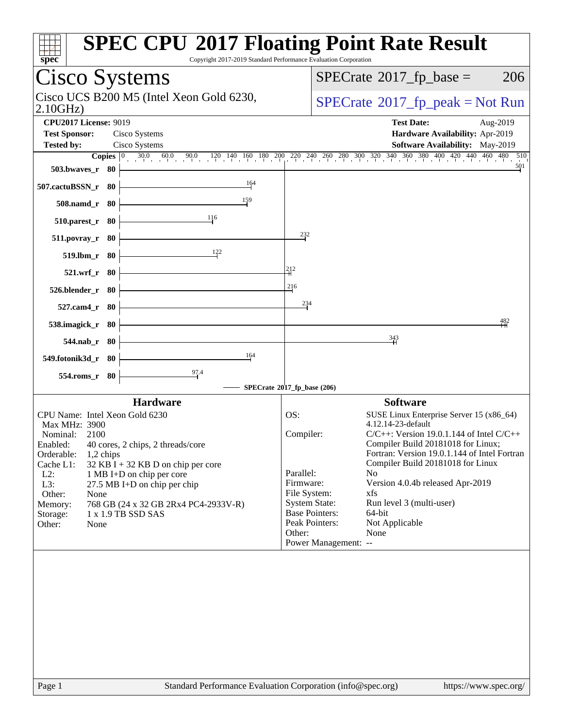| <b>SPEC CPU®2017 Floating Point Rate Result</b><br>Copyright 2017-2019 Standard Performance Evaluation Corporation<br>$spec^*$                                                                                                                                                                                           |                                                                                                                                                                                                                                                                                 |
|--------------------------------------------------------------------------------------------------------------------------------------------------------------------------------------------------------------------------------------------------------------------------------------------------------------------------|---------------------------------------------------------------------------------------------------------------------------------------------------------------------------------------------------------------------------------------------------------------------------------|
| Cisco Systems                                                                                                                                                                                                                                                                                                            | $SPECTate$ <sup>®</sup> 2017_fp_base =<br>206                                                                                                                                                                                                                                   |
| Cisco UCS B200 M5 (Intel Xeon Gold 6230,<br>2.10GHz                                                                                                                                                                                                                                                                      | $SPECrate^{\circ}2017rfp peak = Not Run$                                                                                                                                                                                                                                        |
| <b>CPU2017 License: 9019</b><br><b>Test Sponsor:</b><br>Cisco Systems<br><b>Tested by:</b><br>Cisco Systems<br><b>Copies</b> $\begin{bmatrix} 0 & 30.0 & 60.0 & 90.0 & 120 & 140 & 160 & 180 & 200 & 220 & 240 & 260 & 280 & 300 & 320 & 340 & 360 & 380 & 400 & 420 & 440 & 460 & 480 \end{bmatrix}$<br>503.bwayes_r 80 | <b>Test Date:</b><br>Aug-2019<br>Hardware Availability: Apr-2019<br>Software Availability: May-2019<br>510<br>501                                                                                                                                                               |
| 164<br>507.cactuBSSN_r 80<br>159<br>508.namd_r 80<br>116<br>$510.parest_r$ 80                                                                                                                                                                                                                                            |                                                                                                                                                                                                                                                                                 |
| 232<br>$511. povray_r$ 80<br>122<br>519.lbm_r 80                                                                                                                                                                                                                                                                         |                                                                                                                                                                                                                                                                                 |
| 212<br>521.wrf_r 80<br>216<br>526.blender_r 80<br>234<br>527.cam4_r 80                                                                                                                                                                                                                                                   |                                                                                                                                                                                                                                                                                 |
| 538.imagick_r 80<br>$544$ .nab_r 80                                                                                                                                                                                                                                                                                      | 482<br>343                                                                                                                                                                                                                                                                      |
| 164<br>549.fotonik3d_r 80<br>97.4<br>554.roms_r 80<br>SPECrate®2017_fp_base (206)                                                                                                                                                                                                                                        |                                                                                                                                                                                                                                                                                 |
| <b>Hardware</b><br>CPU Name: Intel Xeon Gold 6230<br>OS:<br>Max MHz: 3900<br>Compiler:<br>Nominal: 2100<br>Enabled: 40 cores, 2 chips, 2 threads/core<br>Orderable:<br>$1,2$ chips<br>Cache L1:<br>$32$ KB I + 32 KB D on chip per core<br>Parallel:<br>$L2$ :<br>1 MB I+D on chip per core                              | <b>Software</b><br>SUSE Linux Enterprise Server 15 (x86_64)<br>4.12.14-23-default<br>$C/C++$ : Version 19.0.1.144 of Intel $C/C++$<br>Compiler Build 20181018 for Linux;<br>Fortran: Version 19.0.1.144 of Intel Fortran<br>Compiler Build 20181018 for Linux<br>N <sub>o</sub> |
| Firmware:<br>L3:<br>27.5 MB I+D on chip per chip<br>File System:<br>Other:<br>None<br>768 GB (24 x 32 GB 2Rx4 PC4-2933V-R)<br>Memory:<br>1 x 1.9 TB SSD SAS<br>Storage:<br>Other:<br>None<br>Other:                                                                                                                      | Version 4.0.4b released Apr-2019<br>xfs<br><b>System State:</b><br>Run level 3 (multi-user)<br><b>Base Pointers:</b><br>64-bit<br>Peak Pointers:<br>Not Applicable<br>None<br>Power Management: --                                                                              |
| Page 1<br>Standard Performance Evaluation Corporation (info@spec.org)                                                                                                                                                                                                                                                    | https://www.spec.org/                                                                                                                                                                                                                                                           |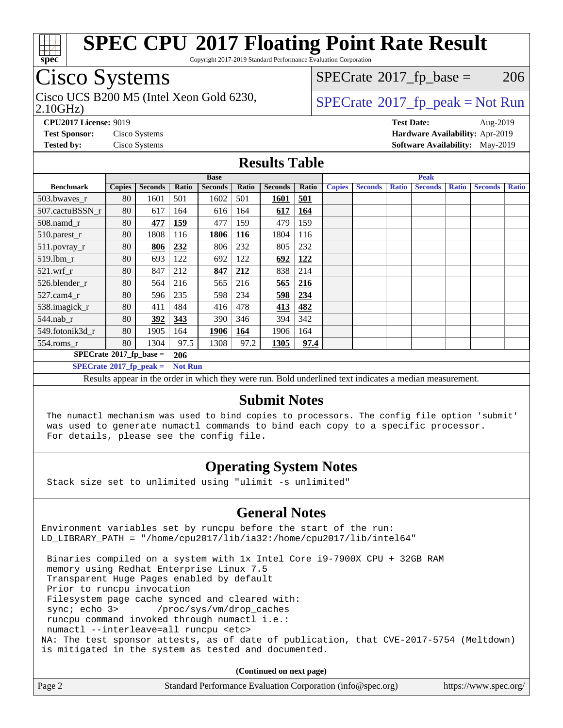

Copyright 2017-2019 Standard Performance Evaluation Corporation

### Cisco Systems

2.10GHz) Cisco UCS B200 M5 (Intel Xeon Gold 6230,  $SPECTR = SPECrate@2017_fp\_peak = Not Run$  $SPECTR = SPECrate@2017_fp\_peak = Not Run$  $SPECTR = SPECrate@2017_fp\_peak = Not Run$ 

 $SPECTate$ <sup>®</sup>[2017\\_fp\\_base =](http://www.spec.org/auto/cpu2017/Docs/result-fields.html#SPECrate2017fpbase) 206

**[CPU2017 License:](http://www.spec.org/auto/cpu2017/Docs/result-fields.html#CPU2017License)** 9019 **[Test Date:](http://www.spec.org/auto/cpu2017/Docs/result-fields.html#TestDate)** Aug-2019 **[Test Sponsor:](http://www.spec.org/auto/cpu2017/Docs/result-fields.html#TestSponsor)** Cisco Systems **[Hardware Availability:](http://www.spec.org/auto/cpu2017/Docs/result-fields.html#HardwareAvailability)** Apr-2019 **[Tested by:](http://www.spec.org/auto/cpu2017/Docs/result-fields.html#Testedby)** Cisco Systems **[Software Availability:](http://www.spec.org/auto/cpu2017/Docs/result-fields.html#SoftwareAvailability)** May-2019

#### **[Results Table](http://www.spec.org/auto/cpu2017/Docs/result-fields.html#ResultsTable)**

|                                               | <b>Base</b>   |                |                |                |            | <b>Peak</b>    |       |               |                |              |                |              |                |              |
|-----------------------------------------------|---------------|----------------|----------------|----------------|------------|----------------|-------|---------------|----------------|--------------|----------------|--------------|----------------|--------------|
| <b>Benchmark</b>                              | <b>Copies</b> | <b>Seconds</b> | Ratio          | <b>Seconds</b> | Ratio      | <b>Seconds</b> | Ratio | <b>Copies</b> | <b>Seconds</b> | <b>Ratio</b> | <b>Seconds</b> | <b>Ratio</b> | <b>Seconds</b> | <b>Ratio</b> |
| 503.bwayes_r                                  | 80            | 1601           | 501            | 1602           | 501        | 1601           | 501   |               |                |              |                |              |                |              |
| 507.cactuBSSN r                               | 80            | 617            | 164            | 616            | 164        | 617            | 164   |               |                |              |                |              |                |              |
| 508.namd_r                                    | 80            | 477            | <b>159</b>     | 477            | 159        | 479            | 159   |               |                |              |                |              |                |              |
| 510.parest_r                                  | 80            | 1808           | 116            | 1806           | <u>116</u> | 1804           | 116   |               |                |              |                |              |                |              |
| 511.povray_r                                  | 80            | 806            | 232            | 806            | 232        | 805            | 232   |               |                |              |                |              |                |              |
| $519.$ lbm_r                                  | 80            | 693            | 122            | 692            | 122        | 692            | 122   |               |                |              |                |              |                |              |
| $521.wrf$ r                                   | 80            | 847            | 212            | 847            | 212        | 838            | 214   |               |                |              |                |              |                |              |
| 526.blender r                                 | 80            | 564            | 216            | 565            | 216        | 565            | 216   |               |                |              |                |              |                |              |
| $527$ .cam $4r$                               | 80            | 596            | 235            | 598            | 234        | 598            | 234   |               |                |              |                |              |                |              |
| 538.imagick_r                                 | 80            | 411            | 484            | 416            | 478        | 413            | 482   |               |                |              |                |              |                |              |
| $544$ .nab_r                                  | 80            | <u>392</u>     | 343            | 390            | 346        | 394            | 342   |               |                |              |                |              |                |              |
| 549.fotonik3d r                               | 80            | 1905           | 164            | 1906           | 164        | 1906           | 164   |               |                |              |                |              |                |              |
| $554$ .roms_r                                 | 80            | 1304           | 97.5           | 1308           | 97.2       | 1305           | 97.4  |               |                |              |                |              |                |              |
| $SPECrate$ <sup>®</sup> 2017_fp_base =<br>206 |               |                |                |                |            |                |       |               |                |              |                |              |                |              |
| $SPECrate^{\circ}2017$ fp peak =              |               |                | <b>Not Run</b> |                |            |                |       |               |                |              |                |              |                |              |

Results appear in the [order in which they were run.](http://www.spec.org/auto/cpu2017/Docs/result-fields.html#RunOrder) Bold underlined text [indicates a median measurement.](http://www.spec.org/auto/cpu2017/Docs/result-fields.html#Median)

#### **[Submit Notes](http://www.spec.org/auto/cpu2017/Docs/result-fields.html#SubmitNotes)**

 The numactl mechanism was used to bind copies to processors. The config file option 'submit' was used to generate numactl commands to bind each copy to a specific processor. For details, please see the config file.

#### **[Operating System Notes](http://www.spec.org/auto/cpu2017/Docs/result-fields.html#OperatingSystemNotes)**

Stack size set to unlimited using "ulimit -s unlimited"

#### **[General Notes](http://www.spec.org/auto/cpu2017/Docs/result-fields.html#GeneralNotes)**

Environment variables set by runcpu before the start of the run: LD\_LIBRARY\_PATH = "/home/cpu2017/lib/ia32:/home/cpu2017/lib/intel64"

 Binaries compiled on a system with 1x Intel Core i9-7900X CPU + 32GB RAM memory using Redhat Enterprise Linux 7.5 Transparent Huge Pages enabled by default Prior to runcpu invocation Filesystem page cache synced and cleared with: sync; echo 3> /proc/sys/vm/drop\_caches runcpu command invoked through numactl i.e.: numactl --interleave=all runcpu <etc> NA: The test sponsor attests, as of date of publication, that CVE-2017-5754 (Meltdown) is mitigated in the system as tested and documented.

**(Continued on next page)**

| Page 2 | Standard Performance Evaluation Corporation (info@spec.org) | https://www.spec.org/ |
|--------|-------------------------------------------------------------|-----------------------|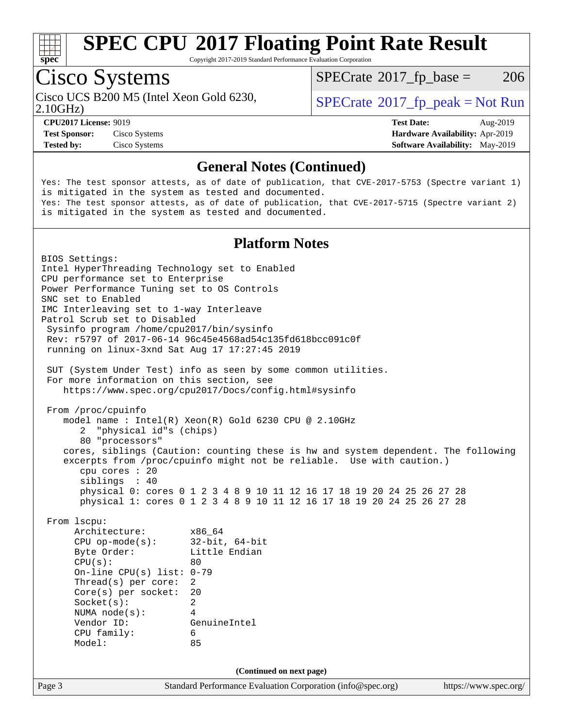

Copyright 2017-2019 Standard Performance Evaluation Corporation

### Cisco Systems

Cisco UCS B200 M5 (Intel Xeon Gold 6230,  $SPECTaE^{\circ}2017$  fp\_peak = Not Run

 $SPECTate$ <sup>®</sup>[2017\\_fp\\_base =](http://www.spec.org/auto/cpu2017/Docs/result-fields.html#SPECrate2017fpbase) 206

2.10GHz)

**[CPU2017 License:](http://www.spec.org/auto/cpu2017/Docs/result-fields.html#CPU2017License)** 9019 **[Test Date:](http://www.spec.org/auto/cpu2017/Docs/result-fields.html#TestDate)** Aug-2019 **[Test Sponsor:](http://www.spec.org/auto/cpu2017/Docs/result-fields.html#TestSponsor)** Cisco Systems **[Hardware Availability:](http://www.spec.org/auto/cpu2017/Docs/result-fields.html#HardwareAvailability)** Apr-2019 **[Tested by:](http://www.spec.org/auto/cpu2017/Docs/result-fields.html#Testedby)** Cisco Systems **[Software Availability:](http://www.spec.org/auto/cpu2017/Docs/result-fields.html#SoftwareAvailability)** May-2019

#### **[General Notes \(Continued\)](http://www.spec.org/auto/cpu2017/Docs/result-fields.html#GeneralNotes)**

Yes: The test sponsor attests, as of date of publication, that CVE-2017-5753 (Spectre variant 1) is mitigated in the system as tested and documented. Yes: The test sponsor attests, as of date of publication, that CVE-2017-5715 (Spectre variant 2) is mitigated in the system as tested and documented.

#### **[Platform Notes](http://www.spec.org/auto/cpu2017/Docs/result-fields.html#PlatformNotes)**

Page 3 Standard Performance Evaluation Corporation [\(info@spec.org\)](mailto:info@spec.org) <https://www.spec.org/> BIOS Settings: Intel HyperThreading Technology set to Enabled CPU performance set to Enterprise Power Performance Tuning set to OS Controls SNC set to Enabled IMC Interleaving set to 1-way Interleave Patrol Scrub set to Disabled Sysinfo program /home/cpu2017/bin/sysinfo Rev: r5797 of 2017-06-14 96c45e4568ad54c135fd618bcc091c0f running on linux-3xnd Sat Aug 17 17:27:45 2019 SUT (System Under Test) info as seen by some common utilities. For more information on this section, see <https://www.spec.org/cpu2017/Docs/config.html#sysinfo> From /proc/cpuinfo model name : Intel(R) Xeon(R) Gold 6230 CPU @ 2.10GHz 2 "physical id"s (chips) 80 "processors" cores, siblings (Caution: counting these is hw and system dependent. The following excerpts from /proc/cpuinfo might not be reliable. Use with caution.) cpu cores : 20 siblings : 40 physical 0: cores 0 1 2 3 4 8 9 10 11 12 16 17 18 19 20 24 25 26 27 28 physical 1: cores 0 1 2 3 4 8 9 10 11 12 16 17 18 19 20 24 25 26 27 28 From lscpu: Architecture: x86\_64 CPU op-mode(s): 32-bit, 64-bit Byte Order: Little Endian  $CPU(s):$  80 On-line CPU(s) list: 0-79 Thread(s) per core: 2 Core(s) per socket: 20 Socket(s): 2 NUMA node(s): 4 Vendor ID: GenuineIntel CPU family: 6 Model: 85 **(Continued on next page)**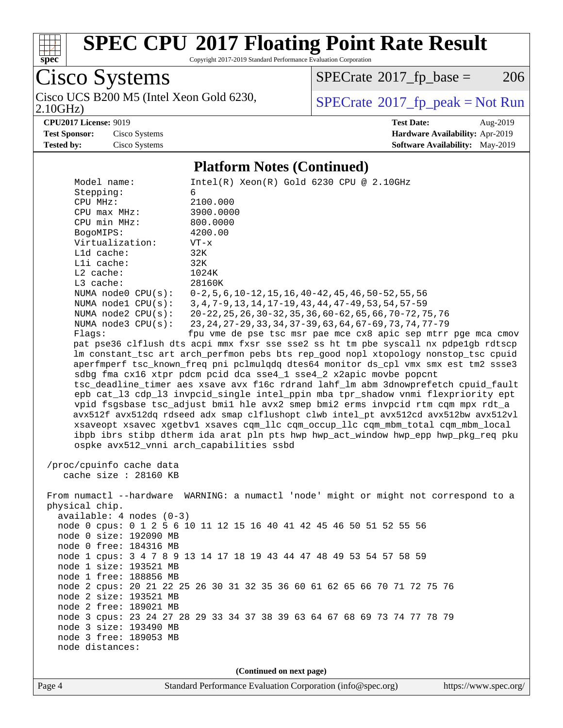

Copyright 2017-2019 Standard Performance Evaluation Corporation

Cisco Systems 2.10GHz) Cisco UCS B200 M5 (Intel Xeon Gold 6230,  $\boxed{\text{SPECrate}^{\circ}2017\_fp\_peak = Not Run}$  $\boxed{\text{SPECrate}^{\circ}2017\_fp\_peak = Not Run}$  $\boxed{\text{SPECrate}^{\circ}2017\_fp\_peak = Not Run}$ 

 $SPECTate@2017_fp\_base = 206$ 

**[CPU2017 License:](http://www.spec.org/auto/cpu2017/Docs/result-fields.html#CPU2017License)** 9019 **[Test Date:](http://www.spec.org/auto/cpu2017/Docs/result-fields.html#TestDate)** Aug-2019 **[Test Sponsor:](http://www.spec.org/auto/cpu2017/Docs/result-fields.html#TestSponsor)** Cisco Systems **[Hardware Availability:](http://www.spec.org/auto/cpu2017/Docs/result-fields.html#HardwareAvailability)** Apr-2019 **[Tested by:](http://www.spec.org/auto/cpu2017/Docs/result-fields.html#Testedby)** Cisco Systems **[Software Availability:](http://www.spec.org/auto/cpu2017/Docs/result-fields.html#SoftwareAvailability)** May-2019

#### **[Platform Notes \(Continued\)](http://www.spec.org/auto/cpu2017/Docs/result-fields.html#PlatformNotes)**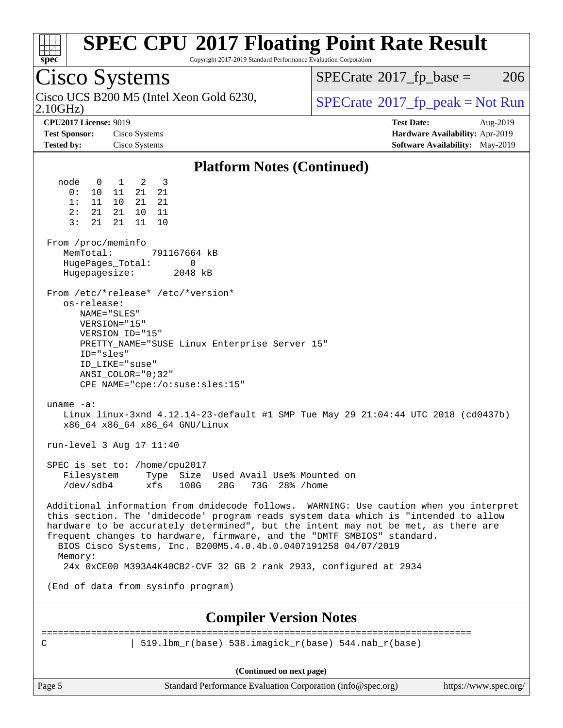

Copyright 2017-2019 Standard Performance Evaluation Corporation

### Cisco Systems

2.10GHz) Cisco UCS B200 M5 (Intel Xeon Gold 6230,  $SPECTR = SPECrate@2017_fp\_peak = Not Run$  $SPECTR = SPECrate@2017_fp\_peak = Not Run$  $SPECTR = SPECrate@2017_fp\_peak = Not Run$ 

 $SPECTate@2017_fp\_base = 206$ 

**[CPU2017 License:](http://www.spec.org/auto/cpu2017/Docs/result-fields.html#CPU2017License)** 9019 **[Test Date:](http://www.spec.org/auto/cpu2017/Docs/result-fields.html#TestDate)** Aug-2019 **[Test Sponsor:](http://www.spec.org/auto/cpu2017/Docs/result-fields.html#TestSponsor)** Cisco Systems **[Hardware Availability:](http://www.spec.org/auto/cpu2017/Docs/result-fields.html#HardwareAvailability)** Apr-2019 **[Tested by:](http://www.spec.org/auto/cpu2017/Docs/result-fields.html#Testedby)** Cisco Systems **[Software Availability:](http://www.spec.org/auto/cpu2017/Docs/result-fields.html#SoftwareAvailability)** May-2019

#### **[Platform Notes \(Continued\)](http://www.spec.org/auto/cpu2017/Docs/result-fields.html#PlatformNotes)** node 0 1 2 3 0: 10 11 21 21 1: 11 10 21 21 2: 21 21 10 11 3: 21 21 11 10 From /proc/meminfo MemTotal: 791167664 kB HugePages\_Total: 0 Hugepagesize: 2048 kB From /etc/\*release\* /etc/\*version\* os-release: NAME="SLES" VERSION="15" VERSION\_ID="15" PRETTY\_NAME="SUSE Linux Enterprise Server 15" ID="sles" ID\_LIKE="suse" ANSI\_COLOR="0;32" CPE\_NAME="cpe:/o:suse:sles:15" uname -a: Linux linux-3xnd 4.12.14-23-default #1 SMP Tue May 29 21:04:44 UTC 2018 (cd0437b) x86\_64 x86\_64 x86\_64 GNU/Linux run-level 3 Aug 17 11:40 SPEC is set to: /home/cpu2017 Filesystem Type Size Used Avail Use% Mounted on /dev/sdb4 xfs 100G 28G 73G 28% /home Additional information from dmidecode follows. WARNING: Use caution when you interpret this section. The 'dmidecode' program reads system data which is "intended to allow hardware to be accurately determined", but the intent may not be met, as there are frequent changes to hardware, firmware, and the "DMTF SMBIOS" standard. BIOS Cisco Systems, Inc. B200M5.4.0.4b.0.0407191258 04/07/2019 Memory: 24x 0xCE00 M393A4K40CB2-CVF 32 GB 2 rank 2933, configured at 2934 (End of data from sysinfo program) **[Compiler Version Notes](http://www.spec.org/auto/cpu2017/Docs/result-fields.html#CompilerVersionNotes)** ============================================================================== C  $| 519.1bm_r(base) 538.imagick_r(base) 544.nab_r(base)$

**(Continued on next page)**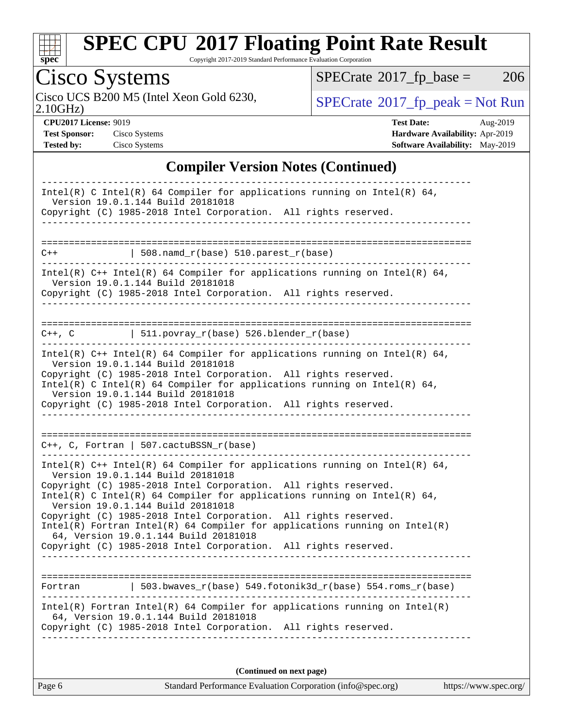

Copyright 2017-2019 Standard Performance Evaluation Corporation

# Cisco Systems

2.10GHz) Cisco UCS B200 M5 (Intel Xeon Gold 6230,  $\boxed{\text{SPECrate}^{\circ}2017\_fp\_peak = Not Run}$  $\boxed{\text{SPECrate}^{\circ}2017\_fp\_peak = Not Run}$  $\boxed{\text{SPECrate}^{\circ}2017\_fp\_peak = Not Run}$ 

 $SPECTate@2017_fp\_base = 206$ 

**[CPU2017 License:](http://www.spec.org/auto/cpu2017/Docs/result-fields.html#CPU2017License)** 9019 **[Test Date:](http://www.spec.org/auto/cpu2017/Docs/result-fields.html#TestDate)** Aug-2019 **[Test Sponsor:](http://www.spec.org/auto/cpu2017/Docs/result-fields.html#TestSponsor)** Cisco Systems **[Hardware Availability:](http://www.spec.org/auto/cpu2017/Docs/result-fields.html#HardwareAvailability)** Apr-2019 **[Tested by:](http://www.spec.org/auto/cpu2017/Docs/result-fields.html#Testedby)** Cisco Systems **[Software Availability:](http://www.spec.org/auto/cpu2017/Docs/result-fields.html#SoftwareAvailability)** May-2019

#### **[Compiler Version Notes \(Continued\)](http://www.spec.org/auto/cpu2017/Docs/result-fields.html#CompilerVersionNotes)**

|         | Intel(R) C Intel(R) 64 Compiler for applications running on Intel(R) 64,<br>Version 19.0.1.144 Build 20181018                                                                          |
|---------|----------------------------------------------------------------------------------------------------------------------------------------------------------------------------------------|
|         | Copyright (C) 1985-2018 Intel Corporation. All rights reserved.                                                                                                                        |
|         |                                                                                                                                                                                        |
| $C++$   | 508.namd_r(base) 510.parest_r(base)                                                                                                                                                    |
|         | Intel(R) $C++$ Intel(R) 64 Compiler for applications running on Intel(R) 64,<br>Version 19.0.1.144 Build 20181018                                                                      |
|         | Copyright (C) 1985-2018 Intel Corporation. All rights reserved.                                                                                                                        |
|         | $C++$ , C $511.povray_r(base) 526.blender_r(base)$                                                                                                                                     |
|         |                                                                                                                                                                                        |
|         | Intel(R) $C++$ Intel(R) 64 Compiler for applications running on Intel(R) 64,<br>Version 19.0.1.144 Build 20181018                                                                      |
|         | Copyright (C) 1985-2018 Intel Corporation. All rights reserved.                                                                                                                        |
|         | Intel(R) C Intel(R) 64 Compiler for applications running on Intel(R) 64,<br>Version 19.0.1.144 Build 20181018                                                                          |
|         |                                                                                                                                                                                        |
|         | Copyright (C) 1985-2018 Intel Corporation. All rights reserved.                                                                                                                        |
|         | $C++$ , C, Fortran   507.cactuBSSN_r(base)<br>-----------------------------------                                                                                                      |
|         | Intel(R) $C++$ Intel(R) 64 Compiler for applications running on Intel(R) 64,                                                                                                           |
|         | Version 19.0.1.144 Build 20181018<br>Copyright (C) 1985-2018 Intel Corporation. All rights reserved.                                                                                   |
|         | Intel(R) C Intel(R) 64 Compiler for applications running on Intel(R) 64,                                                                                                               |
|         | Version 19.0.1.144 Build 20181018<br>Copyright (C) 1985-2018 Intel Corporation. All rights reserved.                                                                                   |
|         | $Intel(R)$ Fortran Intel(R) 64 Compiler for applications running on Intel(R)                                                                                                           |
|         | 64, Version 19.0.1.144 Build 20181018<br>Copyright (C) 1985-2018 Intel Corporation. All rights reserved.                                                                               |
|         |                                                                                                                                                                                        |
|         |                                                                                                                                                                                        |
| Fortran | 503.bwaves_r(base) 549.fotonik3d_r(base) 554.roms_r(base)                                                                                                                              |
|         | Intel(R) Fortran Intel(R) 64 Compiler for applications running on Intel(R)<br>64, Version 19.0.1.144 Build 20181018<br>Copyright (C) 1985-2018 Intel Corporation. All rights reserved. |

**(Continued on next page)**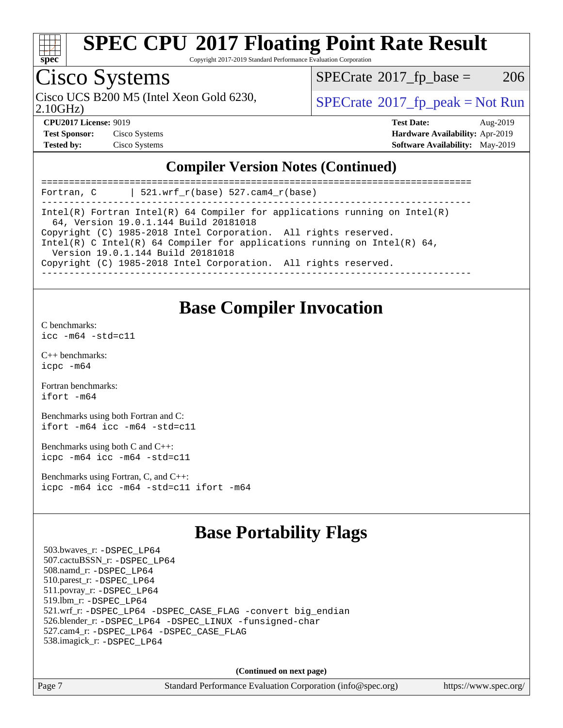

Copyright 2017-2019 Standard Performance Evaluation Corporation

### Cisco Systems

Cisco UCS B200 M5 (Intel Xeon Gold 6230,  $SPECTR = SPECrate^{\circ}2017$  $SPECTR = SPECrate^{\circ}2017$  $SPECTR = SPECrate^{\circ}2017$  [p\_peak = Not Run

 $SPECTate@2017_fp\_base = 206$ 

2.10GHz)

**[CPU2017 License:](http://www.spec.org/auto/cpu2017/Docs/result-fields.html#CPU2017License)** 9019 **[Test Date:](http://www.spec.org/auto/cpu2017/Docs/result-fields.html#TestDate)** Aug-2019 **[Test Sponsor:](http://www.spec.org/auto/cpu2017/Docs/result-fields.html#TestSponsor)** Cisco Systems **[Hardware Availability:](http://www.spec.org/auto/cpu2017/Docs/result-fields.html#HardwareAvailability)** Apr-2019 **[Tested by:](http://www.spec.org/auto/cpu2017/Docs/result-fields.html#Testedby)** Cisco Systems **[Software Availability:](http://www.spec.org/auto/cpu2017/Docs/result-fields.html#SoftwareAvailability)** May-2019

#### **[Compiler Version Notes \(Continued\)](http://www.spec.org/auto/cpu2017/Docs/result-fields.html#CompilerVersionNotes)**

| 521.wrf $r(base)$ 527.cam4 $r(base)$<br>Fortran, C                                                                                                                               |
|----------------------------------------------------------------------------------------------------------------------------------------------------------------------------------|
| Intel(R) Fortran Intel(R) 64 Compiler for applications running on Intel(R)<br>64, Version 19.0.1.144 Build 20181018                                                              |
| Copyright (C) 1985-2018 Intel Corporation. All rights reserved.<br>Intel(R) C Intel(R) 64 Compiler for applications running on Intel(R) 64,<br>Version 19.0.1.144 Build 20181018 |
| Copyright (C) 1985-2018 Intel Corporation. All rights reserved.                                                                                                                  |

### **[Base Compiler Invocation](http://www.spec.org/auto/cpu2017/Docs/result-fields.html#BaseCompilerInvocation)**

[C benchmarks](http://www.spec.org/auto/cpu2017/Docs/result-fields.html#Cbenchmarks):

[icc -m64 -std=c11](http://www.spec.org/cpu2017/results/res2019q3/cpu2017-20190820-17200.flags.html#user_CCbase_intel_icc_64bit_c11_33ee0cdaae7deeeab2a9725423ba97205ce30f63b9926c2519791662299b76a0318f32ddfffdc46587804de3178b4f9328c46fa7c2b0cd779d7a61945c91cd35)

[C++ benchmarks:](http://www.spec.org/auto/cpu2017/Docs/result-fields.html#CXXbenchmarks) [icpc -m64](http://www.spec.org/cpu2017/results/res2019q3/cpu2017-20190820-17200.flags.html#user_CXXbase_intel_icpc_64bit_4ecb2543ae3f1412ef961e0650ca070fec7b7afdcd6ed48761b84423119d1bf6bdf5cad15b44d48e7256388bc77273b966e5eb805aefd121eb22e9299b2ec9d9)

[Fortran benchmarks](http://www.spec.org/auto/cpu2017/Docs/result-fields.html#Fortranbenchmarks): [ifort -m64](http://www.spec.org/cpu2017/results/res2019q3/cpu2017-20190820-17200.flags.html#user_FCbase_intel_ifort_64bit_24f2bb282fbaeffd6157abe4f878425411749daecae9a33200eee2bee2fe76f3b89351d69a8130dd5949958ce389cf37ff59a95e7a40d588e8d3a57e0c3fd751)

[Benchmarks using both Fortran and C](http://www.spec.org/auto/cpu2017/Docs/result-fields.html#BenchmarksusingbothFortranandC): [ifort -m64](http://www.spec.org/cpu2017/results/res2019q3/cpu2017-20190820-17200.flags.html#user_CC_FCbase_intel_ifort_64bit_24f2bb282fbaeffd6157abe4f878425411749daecae9a33200eee2bee2fe76f3b89351d69a8130dd5949958ce389cf37ff59a95e7a40d588e8d3a57e0c3fd751) [icc -m64 -std=c11](http://www.spec.org/cpu2017/results/res2019q3/cpu2017-20190820-17200.flags.html#user_CC_FCbase_intel_icc_64bit_c11_33ee0cdaae7deeeab2a9725423ba97205ce30f63b9926c2519791662299b76a0318f32ddfffdc46587804de3178b4f9328c46fa7c2b0cd779d7a61945c91cd35)

[Benchmarks using both C and C++](http://www.spec.org/auto/cpu2017/Docs/result-fields.html#BenchmarksusingbothCandCXX): [icpc -m64](http://www.spec.org/cpu2017/results/res2019q3/cpu2017-20190820-17200.flags.html#user_CC_CXXbase_intel_icpc_64bit_4ecb2543ae3f1412ef961e0650ca070fec7b7afdcd6ed48761b84423119d1bf6bdf5cad15b44d48e7256388bc77273b966e5eb805aefd121eb22e9299b2ec9d9) [icc -m64 -std=c11](http://www.spec.org/cpu2017/results/res2019q3/cpu2017-20190820-17200.flags.html#user_CC_CXXbase_intel_icc_64bit_c11_33ee0cdaae7deeeab2a9725423ba97205ce30f63b9926c2519791662299b76a0318f32ddfffdc46587804de3178b4f9328c46fa7c2b0cd779d7a61945c91cd35)

[Benchmarks using Fortran, C, and C++:](http://www.spec.org/auto/cpu2017/Docs/result-fields.html#BenchmarksusingFortranCandCXX) [icpc -m64](http://www.spec.org/cpu2017/results/res2019q3/cpu2017-20190820-17200.flags.html#user_CC_CXX_FCbase_intel_icpc_64bit_4ecb2543ae3f1412ef961e0650ca070fec7b7afdcd6ed48761b84423119d1bf6bdf5cad15b44d48e7256388bc77273b966e5eb805aefd121eb22e9299b2ec9d9) [icc -m64 -std=c11](http://www.spec.org/cpu2017/results/res2019q3/cpu2017-20190820-17200.flags.html#user_CC_CXX_FCbase_intel_icc_64bit_c11_33ee0cdaae7deeeab2a9725423ba97205ce30f63b9926c2519791662299b76a0318f32ddfffdc46587804de3178b4f9328c46fa7c2b0cd779d7a61945c91cd35) [ifort -m64](http://www.spec.org/cpu2017/results/res2019q3/cpu2017-20190820-17200.flags.html#user_CC_CXX_FCbase_intel_ifort_64bit_24f2bb282fbaeffd6157abe4f878425411749daecae9a33200eee2bee2fe76f3b89351d69a8130dd5949958ce389cf37ff59a95e7a40d588e8d3a57e0c3fd751)

### **[Base Portability Flags](http://www.spec.org/auto/cpu2017/Docs/result-fields.html#BasePortabilityFlags)**

 503.bwaves\_r: [-DSPEC\\_LP64](http://www.spec.org/cpu2017/results/res2019q3/cpu2017-20190820-17200.flags.html#suite_basePORTABILITY503_bwaves_r_DSPEC_LP64) 507.cactuBSSN\_r: [-DSPEC\\_LP64](http://www.spec.org/cpu2017/results/res2019q3/cpu2017-20190820-17200.flags.html#suite_basePORTABILITY507_cactuBSSN_r_DSPEC_LP64) 508.namd\_r: [-DSPEC\\_LP64](http://www.spec.org/cpu2017/results/res2019q3/cpu2017-20190820-17200.flags.html#suite_basePORTABILITY508_namd_r_DSPEC_LP64) 510.parest\_r: [-DSPEC\\_LP64](http://www.spec.org/cpu2017/results/res2019q3/cpu2017-20190820-17200.flags.html#suite_basePORTABILITY510_parest_r_DSPEC_LP64) 511.povray\_r: [-DSPEC\\_LP64](http://www.spec.org/cpu2017/results/res2019q3/cpu2017-20190820-17200.flags.html#suite_basePORTABILITY511_povray_r_DSPEC_LP64) 519.lbm\_r: [-DSPEC\\_LP64](http://www.spec.org/cpu2017/results/res2019q3/cpu2017-20190820-17200.flags.html#suite_basePORTABILITY519_lbm_r_DSPEC_LP64) 521.wrf\_r: [-DSPEC\\_LP64](http://www.spec.org/cpu2017/results/res2019q3/cpu2017-20190820-17200.flags.html#suite_basePORTABILITY521_wrf_r_DSPEC_LP64) [-DSPEC\\_CASE\\_FLAG](http://www.spec.org/cpu2017/results/res2019q3/cpu2017-20190820-17200.flags.html#b521.wrf_r_baseCPORTABILITY_DSPEC_CASE_FLAG) [-convert big\\_endian](http://www.spec.org/cpu2017/results/res2019q3/cpu2017-20190820-17200.flags.html#user_baseFPORTABILITY521_wrf_r_convert_big_endian_c3194028bc08c63ac5d04de18c48ce6d347e4e562e8892b8bdbdc0214820426deb8554edfa529a3fb25a586e65a3d812c835984020483e7e73212c4d31a38223) 526.blender\_r: [-DSPEC\\_LP64](http://www.spec.org/cpu2017/results/res2019q3/cpu2017-20190820-17200.flags.html#suite_basePORTABILITY526_blender_r_DSPEC_LP64) [-DSPEC\\_LINUX](http://www.spec.org/cpu2017/results/res2019q3/cpu2017-20190820-17200.flags.html#b526.blender_r_baseCPORTABILITY_DSPEC_LINUX) [-funsigned-char](http://www.spec.org/cpu2017/results/res2019q3/cpu2017-20190820-17200.flags.html#user_baseCPORTABILITY526_blender_r_force_uchar_40c60f00ab013830e2dd6774aeded3ff59883ba5a1fc5fc14077f794d777847726e2a5858cbc7672e36e1b067e7e5c1d9a74f7176df07886a243d7cc18edfe67) 527.cam4\_r: [-DSPEC\\_LP64](http://www.spec.org/cpu2017/results/res2019q3/cpu2017-20190820-17200.flags.html#suite_basePORTABILITY527_cam4_r_DSPEC_LP64) [-DSPEC\\_CASE\\_FLAG](http://www.spec.org/cpu2017/results/res2019q3/cpu2017-20190820-17200.flags.html#b527.cam4_r_baseCPORTABILITY_DSPEC_CASE_FLAG) 538.imagick\_r: [-DSPEC\\_LP64](http://www.spec.org/cpu2017/results/res2019q3/cpu2017-20190820-17200.flags.html#suite_basePORTABILITY538_imagick_r_DSPEC_LP64)

**(Continued on next page)**

Page 7 Standard Performance Evaluation Corporation [\(info@spec.org\)](mailto:info@spec.org) <https://www.spec.org/>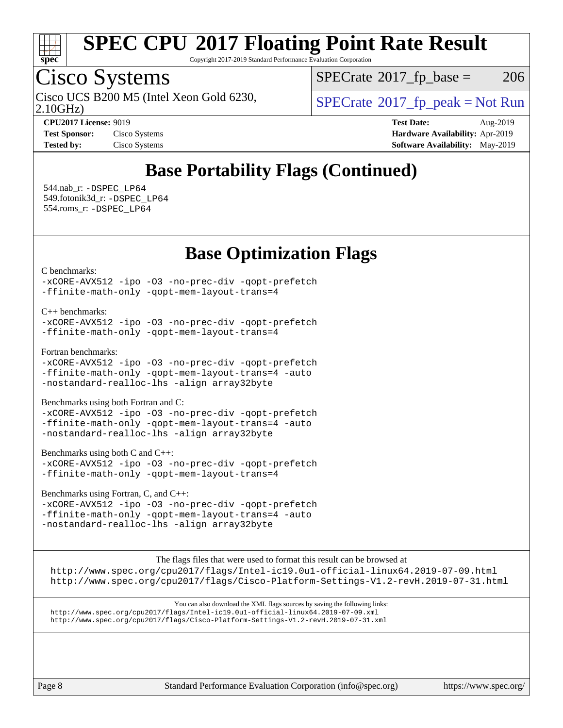

Copyright 2017-2019 Standard Performance Evaluation Corporation

### Cisco Systems

2.10GHz) Cisco UCS B200 M5 (Intel Xeon Gold 6230,  $SPECTa te \textsuperscript{\textdegree}2017$  fp\_peak = Not Run

 $SPECTate@2017_fp\_base = 206$ 

**[Tested by:](http://www.spec.org/auto/cpu2017/Docs/result-fields.html#Testedby)** Cisco Systems **[Software Availability:](http://www.spec.org/auto/cpu2017/Docs/result-fields.html#SoftwareAvailability)** May-2019

**[CPU2017 License:](http://www.spec.org/auto/cpu2017/Docs/result-fields.html#CPU2017License)** 9019 **[Test Date:](http://www.spec.org/auto/cpu2017/Docs/result-fields.html#TestDate)** Aug-2019 **[Test Sponsor:](http://www.spec.org/auto/cpu2017/Docs/result-fields.html#TestSponsor)** Cisco Systems **[Hardware Availability:](http://www.spec.org/auto/cpu2017/Docs/result-fields.html#HardwareAvailability)** Apr-2019

### **[Base Portability Flags \(Continued\)](http://www.spec.org/auto/cpu2017/Docs/result-fields.html#BasePortabilityFlags)**

 544.nab\_r: [-DSPEC\\_LP64](http://www.spec.org/cpu2017/results/res2019q3/cpu2017-20190820-17200.flags.html#suite_basePORTABILITY544_nab_r_DSPEC_LP64) 549.fotonik3d\_r: [-DSPEC\\_LP64](http://www.spec.org/cpu2017/results/res2019q3/cpu2017-20190820-17200.flags.html#suite_basePORTABILITY549_fotonik3d_r_DSPEC_LP64) 554.roms\_r: [-DSPEC\\_LP64](http://www.spec.org/cpu2017/results/res2019q3/cpu2017-20190820-17200.flags.html#suite_basePORTABILITY554_roms_r_DSPEC_LP64)

### **[Base Optimization Flags](http://www.spec.org/auto/cpu2017/Docs/result-fields.html#BaseOptimizationFlags)**

[C benchmarks](http://www.spec.org/auto/cpu2017/Docs/result-fields.html#Cbenchmarks):

[-xCORE-AVX512](http://www.spec.org/cpu2017/results/res2019q3/cpu2017-20190820-17200.flags.html#user_CCbase_f-xCORE-AVX512) [-ipo](http://www.spec.org/cpu2017/results/res2019q3/cpu2017-20190820-17200.flags.html#user_CCbase_f-ipo) [-O3](http://www.spec.org/cpu2017/results/res2019q3/cpu2017-20190820-17200.flags.html#user_CCbase_f-O3) [-no-prec-div](http://www.spec.org/cpu2017/results/res2019q3/cpu2017-20190820-17200.flags.html#user_CCbase_f-no-prec-div) [-qopt-prefetch](http://www.spec.org/cpu2017/results/res2019q3/cpu2017-20190820-17200.flags.html#user_CCbase_f-qopt-prefetch) [-ffinite-math-only](http://www.spec.org/cpu2017/results/res2019q3/cpu2017-20190820-17200.flags.html#user_CCbase_f_finite_math_only_cb91587bd2077682c4b38af759c288ed7c732db004271a9512da14a4f8007909a5f1427ecbf1a0fb78ff2a814402c6114ac565ca162485bbcae155b5e4258871) [-qopt-mem-layout-trans=4](http://www.spec.org/cpu2017/results/res2019q3/cpu2017-20190820-17200.flags.html#user_CCbase_f-qopt-mem-layout-trans_fa39e755916c150a61361b7846f310bcdf6f04e385ef281cadf3647acec3f0ae266d1a1d22d972a7087a248fd4e6ca390a3634700869573d231a252c784941a8)

[C++ benchmarks:](http://www.spec.org/auto/cpu2017/Docs/result-fields.html#CXXbenchmarks)

[-xCORE-AVX512](http://www.spec.org/cpu2017/results/res2019q3/cpu2017-20190820-17200.flags.html#user_CXXbase_f-xCORE-AVX512) [-ipo](http://www.spec.org/cpu2017/results/res2019q3/cpu2017-20190820-17200.flags.html#user_CXXbase_f-ipo) [-O3](http://www.spec.org/cpu2017/results/res2019q3/cpu2017-20190820-17200.flags.html#user_CXXbase_f-O3) [-no-prec-div](http://www.spec.org/cpu2017/results/res2019q3/cpu2017-20190820-17200.flags.html#user_CXXbase_f-no-prec-div) [-qopt-prefetch](http://www.spec.org/cpu2017/results/res2019q3/cpu2017-20190820-17200.flags.html#user_CXXbase_f-qopt-prefetch) [-ffinite-math-only](http://www.spec.org/cpu2017/results/res2019q3/cpu2017-20190820-17200.flags.html#user_CXXbase_f_finite_math_only_cb91587bd2077682c4b38af759c288ed7c732db004271a9512da14a4f8007909a5f1427ecbf1a0fb78ff2a814402c6114ac565ca162485bbcae155b5e4258871) [-qopt-mem-layout-trans=4](http://www.spec.org/cpu2017/results/res2019q3/cpu2017-20190820-17200.flags.html#user_CXXbase_f-qopt-mem-layout-trans_fa39e755916c150a61361b7846f310bcdf6f04e385ef281cadf3647acec3f0ae266d1a1d22d972a7087a248fd4e6ca390a3634700869573d231a252c784941a8)

[Fortran benchmarks](http://www.spec.org/auto/cpu2017/Docs/result-fields.html#Fortranbenchmarks):

[-xCORE-AVX512](http://www.spec.org/cpu2017/results/res2019q3/cpu2017-20190820-17200.flags.html#user_FCbase_f-xCORE-AVX512) [-ipo](http://www.spec.org/cpu2017/results/res2019q3/cpu2017-20190820-17200.flags.html#user_FCbase_f-ipo) [-O3](http://www.spec.org/cpu2017/results/res2019q3/cpu2017-20190820-17200.flags.html#user_FCbase_f-O3) [-no-prec-div](http://www.spec.org/cpu2017/results/res2019q3/cpu2017-20190820-17200.flags.html#user_FCbase_f-no-prec-div) [-qopt-prefetch](http://www.spec.org/cpu2017/results/res2019q3/cpu2017-20190820-17200.flags.html#user_FCbase_f-qopt-prefetch) [-ffinite-math-only](http://www.spec.org/cpu2017/results/res2019q3/cpu2017-20190820-17200.flags.html#user_FCbase_f_finite_math_only_cb91587bd2077682c4b38af759c288ed7c732db004271a9512da14a4f8007909a5f1427ecbf1a0fb78ff2a814402c6114ac565ca162485bbcae155b5e4258871) [-qopt-mem-layout-trans=4](http://www.spec.org/cpu2017/results/res2019q3/cpu2017-20190820-17200.flags.html#user_FCbase_f-qopt-mem-layout-trans_fa39e755916c150a61361b7846f310bcdf6f04e385ef281cadf3647acec3f0ae266d1a1d22d972a7087a248fd4e6ca390a3634700869573d231a252c784941a8) [-auto](http://www.spec.org/cpu2017/results/res2019q3/cpu2017-20190820-17200.flags.html#user_FCbase_f-auto) [-nostandard-realloc-lhs](http://www.spec.org/cpu2017/results/res2019q3/cpu2017-20190820-17200.flags.html#user_FCbase_f_2003_std_realloc_82b4557e90729c0f113870c07e44d33d6f5a304b4f63d4c15d2d0f1fab99f5daaed73bdb9275d9ae411527f28b936061aa8b9c8f2d63842963b95c9dd6426b8a) [-align array32byte](http://www.spec.org/cpu2017/results/res2019q3/cpu2017-20190820-17200.flags.html#user_FCbase_align_array32byte_b982fe038af199962ba9a80c053b8342c548c85b40b8e86eb3cc33dee0d7986a4af373ac2d51c3f7cf710a18d62fdce2948f201cd044323541f22fc0fffc51b6)

[Benchmarks using both Fortran and C](http://www.spec.org/auto/cpu2017/Docs/result-fields.html#BenchmarksusingbothFortranandC):

[-xCORE-AVX512](http://www.spec.org/cpu2017/results/res2019q3/cpu2017-20190820-17200.flags.html#user_CC_FCbase_f-xCORE-AVX512) [-ipo](http://www.spec.org/cpu2017/results/res2019q3/cpu2017-20190820-17200.flags.html#user_CC_FCbase_f-ipo) [-O3](http://www.spec.org/cpu2017/results/res2019q3/cpu2017-20190820-17200.flags.html#user_CC_FCbase_f-O3) [-no-prec-div](http://www.spec.org/cpu2017/results/res2019q3/cpu2017-20190820-17200.flags.html#user_CC_FCbase_f-no-prec-div) [-qopt-prefetch](http://www.spec.org/cpu2017/results/res2019q3/cpu2017-20190820-17200.flags.html#user_CC_FCbase_f-qopt-prefetch) [-ffinite-math-only](http://www.spec.org/cpu2017/results/res2019q3/cpu2017-20190820-17200.flags.html#user_CC_FCbase_f_finite_math_only_cb91587bd2077682c4b38af759c288ed7c732db004271a9512da14a4f8007909a5f1427ecbf1a0fb78ff2a814402c6114ac565ca162485bbcae155b5e4258871) [-qopt-mem-layout-trans=4](http://www.spec.org/cpu2017/results/res2019q3/cpu2017-20190820-17200.flags.html#user_CC_FCbase_f-qopt-mem-layout-trans_fa39e755916c150a61361b7846f310bcdf6f04e385ef281cadf3647acec3f0ae266d1a1d22d972a7087a248fd4e6ca390a3634700869573d231a252c784941a8) [-auto](http://www.spec.org/cpu2017/results/res2019q3/cpu2017-20190820-17200.flags.html#user_CC_FCbase_f-auto) [-nostandard-realloc-lhs](http://www.spec.org/cpu2017/results/res2019q3/cpu2017-20190820-17200.flags.html#user_CC_FCbase_f_2003_std_realloc_82b4557e90729c0f113870c07e44d33d6f5a304b4f63d4c15d2d0f1fab99f5daaed73bdb9275d9ae411527f28b936061aa8b9c8f2d63842963b95c9dd6426b8a) [-align array32byte](http://www.spec.org/cpu2017/results/res2019q3/cpu2017-20190820-17200.flags.html#user_CC_FCbase_align_array32byte_b982fe038af199962ba9a80c053b8342c548c85b40b8e86eb3cc33dee0d7986a4af373ac2d51c3f7cf710a18d62fdce2948f201cd044323541f22fc0fffc51b6)

[Benchmarks using both C and C++](http://www.spec.org/auto/cpu2017/Docs/result-fields.html#BenchmarksusingbothCandCXX):

[-xCORE-AVX512](http://www.spec.org/cpu2017/results/res2019q3/cpu2017-20190820-17200.flags.html#user_CC_CXXbase_f-xCORE-AVX512) [-ipo](http://www.spec.org/cpu2017/results/res2019q3/cpu2017-20190820-17200.flags.html#user_CC_CXXbase_f-ipo) [-O3](http://www.spec.org/cpu2017/results/res2019q3/cpu2017-20190820-17200.flags.html#user_CC_CXXbase_f-O3) [-no-prec-div](http://www.spec.org/cpu2017/results/res2019q3/cpu2017-20190820-17200.flags.html#user_CC_CXXbase_f-no-prec-div) [-qopt-prefetch](http://www.spec.org/cpu2017/results/res2019q3/cpu2017-20190820-17200.flags.html#user_CC_CXXbase_f-qopt-prefetch) [-ffinite-math-only](http://www.spec.org/cpu2017/results/res2019q3/cpu2017-20190820-17200.flags.html#user_CC_CXXbase_f_finite_math_only_cb91587bd2077682c4b38af759c288ed7c732db004271a9512da14a4f8007909a5f1427ecbf1a0fb78ff2a814402c6114ac565ca162485bbcae155b5e4258871) [-qopt-mem-layout-trans=4](http://www.spec.org/cpu2017/results/res2019q3/cpu2017-20190820-17200.flags.html#user_CC_CXXbase_f-qopt-mem-layout-trans_fa39e755916c150a61361b7846f310bcdf6f04e385ef281cadf3647acec3f0ae266d1a1d22d972a7087a248fd4e6ca390a3634700869573d231a252c784941a8)

[Benchmarks using Fortran, C, and C++:](http://www.spec.org/auto/cpu2017/Docs/result-fields.html#BenchmarksusingFortranCandCXX)

[-xCORE-AVX512](http://www.spec.org/cpu2017/results/res2019q3/cpu2017-20190820-17200.flags.html#user_CC_CXX_FCbase_f-xCORE-AVX512) [-ipo](http://www.spec.org/cpu2017/results/res2019q3/cpu2017-20190820-17200.flags.html#user_CC_CXX_FCbase_f-ipo) [-O3](http://www.spec.org/cpu2017/results/res2019q3/cpu2017-20190820-17200.flags.html#user_CC_CXX_FCbase_f-O3) [-no-prec-div](http://www.spec.org/cpu2017/results/res2019q3/cpu2017-20190820-17200.flags.html#user_CC_CXX_FCbase_f-no-prec-div) [-qopt-prefetch](http://www.spec.org/cpu2017/results/res2019q3/cpu2017-20190820-17200.flags.html#user_CC_CXX_FCbase_f-qopt-prefetch) [-ffinite-math-only](http://www.spec.org/cpu2017/results/res2019q3/cpu2017-20190820-17200.flags.html#user_CC_CXX_FCbase_f_finite_math_only_cb91587bd2077682c4b38af759c288ed7c732db004271a9512da14a4f8007909a5f1427ecbf1a0fb78ff2a814402c6114ac565ca162485bbcae155b5e4258871) [-qopt-mem-layout-trans=4](http://www.spec.org/cpu2017/results/res2019q3/cpu2017-20190820-17200.flags.html#user_CC_CXX_FCbase_f-qopt-mem-layout-trans_fa39e755916c150a61361b7846f310bcdf6f04e385ef281cadf3647acec3f0ae266d1a1d22d972a7087a248fd4e6ca390a3634700869573d231a252c784941a8) [-auto](http://www.spec.org/cpu2017/results/res2019q3/cpu2017-20190820-17200.flags.html#user_CC_CXX_FCbase_f-auto) [-nostandard-realloc-lhs](http://www.spec.org/cpu2017/results/res2019q3/cpu2017-20190820-17200.flags.html#user_CC_CXX_FCbase_f_2003_std_realloc_82b4557e90729c0f113870c07e44d33d6f5a304b4f63d4c15d2d0f1fab99f5daaed73bdb9275d9ae411527f28b936061aa8b9c8f2d63842963b95c9dd6426b8a) [-align array32byte](http://www.spec.org/cpu2017/results/res2019q3/cpu2017-20190820-17200.flags.html#user_CC_CXX_FCbase_align_array32byte_b982fe038af199962ba9a80c053b8342c548c85b40b8e86eb3cc33dee0d7986a4af373ac2d51c3f7cf710a18d62fdce2948f201cd044323541f22fc0fffc51b6)

[The flags files that were used to format this result can be browsed at](tmsearch)

<http://www.spec.org/cpu2017/flags/Intel-ic19.0u1-official-linux64.2019-07-09.html> <http://www.spec.org/cpu2017/flags/Cisco-Platform-Settings-V1.2-revH.2019-07-31.html>

[You can also download the XML flags sources by saving the following links:](tmsearch) <http://www.spec.org/cpu2017/flags/Intel-ic19.0u1-official-linux64.2019-07-09.xml> <http://www.spec.org/cpu2017/flags/Cisco-Platform-Settings-V1.2-revH.2019-07-31.xml>

Page 8 Standard Performance Evaluation Corporation [\(info@spec.org\)](mailto:info@spec.org) <https://www.spec.org/>